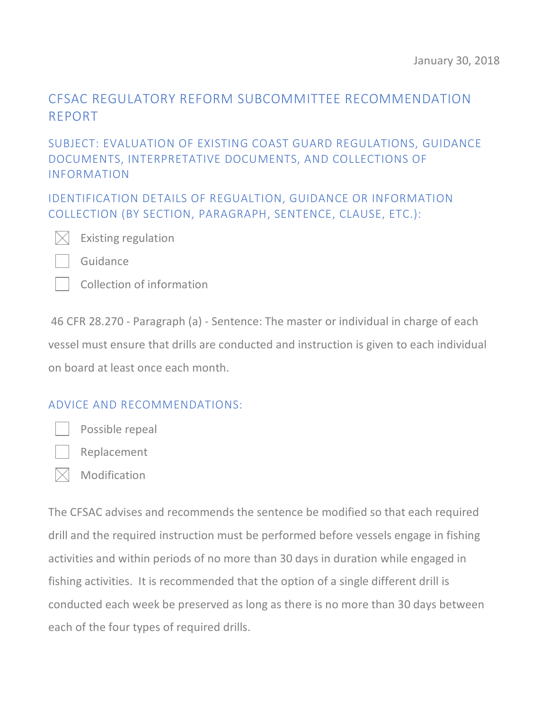# CFSAC REGULATORY REFORM SUBCOMMITTEE RECOMMENDATION REPORT

#### SUBJECT: EVALUATION OF EXISTING COAST GUARD REGULATIONS, GUIDANCE DOCUMENTS, INTERPRETATIVE DOCUMENTS, AND COLLECTIONS OF INFORMATION

IDENTIFICATION DETAILS OF REGUALTION, GUIDANCE OR INFORMATION COLLECTION (BY SECTION, PARAGRAPH, SENTENCE, CLAUSE, ETC.):



Existing regulation

Guidance

Collection of information

46 CFR 28.270 - Paragraph (a) - Sentence: The master or individual in charge of each vessel must ensure that drills are conducted and instruction is given to each individual on board at least once each month.

#### ADVICE AND RECOMMENDATIONS:



Possible repeal



 $\bowtie$  Modification

The CFSAC advises and recommends the sentence be modified so that each required drill and the required instruction must be performed before vessels engage in fishing activities and within periods of no more than 30 days in duration while engaged in fishing activities. It is recommended that the option of a single different drill is conducted each week be preserved as long as there is no more than 30 days between each of the four types of required drills.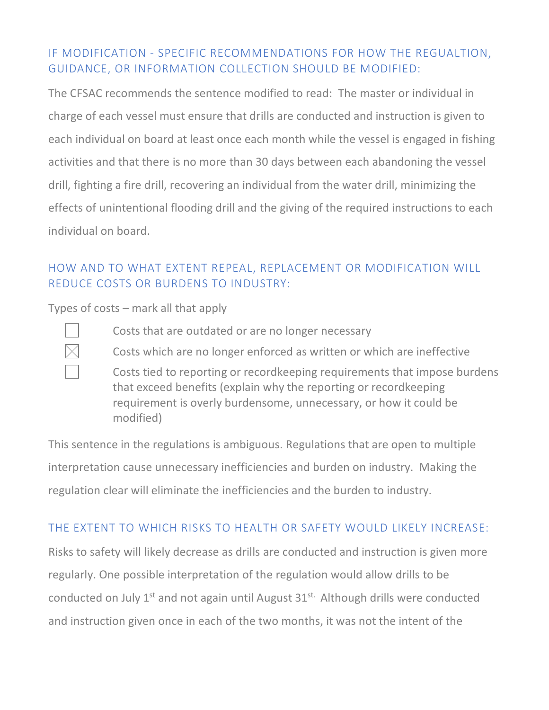### IF MODIFICATION - SPECIFIC RECOMMENDATIONS FOR HOW THE REGUALTION, GUIDANCE, OR INFORMATION COLLECTION SHOULD BE MODIFIED:

The CFSAC recommends the sentence modified to read: The master or individual in charge of each vessel must ensure that drills are conducted and instruction is given to each individual on board at least once each month while the vessel is engaged in fishing activities and that there is no more than 30 days between each abandoning the vessel drill, fighting a fire drill, recovering an individual from the water drill, minimizing the effects of unintentional flooding drill and the giving of the required instructions to each individual on board.

# HOW AND TO WHAT EXTENT REPEAL, REPLACEMENT OR MODIFICATION WILL REDUCE COSTS OR BURDENS TO INDUSTRY:

Types of costs – mark all that apply



Costs that are outdated or are no longer necessary

Costs which are no longer enforced as written or which are ineffective

Costs tied to reporting or recordkeeping requirements that impose burdens that exceed benefits (explain why the reporting or recordkeeping requirement is overly burdensome, unnecessary, or how it could be modified)

This sentence in the regulations is ambiguous. Regulations that are open to multiple interpretation cause unnecessary inefficiencies and burden on industry. Making the regulation clear will eliminate the inefficiencies and the burden to industry.

### THE EXTENT TO WHICH RISKS TO HEALTH OR SAFETY WOULD LIKELY INCREASE:

Risks to safety will likely decrease as drills are conducted and instruction is given more regularly. One possible interpretation of the regulation would allow drills to be conducted on July 1<sup>st</sup> and not again until August 31<sup>st.</sup> Although drills were conducted and instruction given once in each of the two months, it was not the intent of the